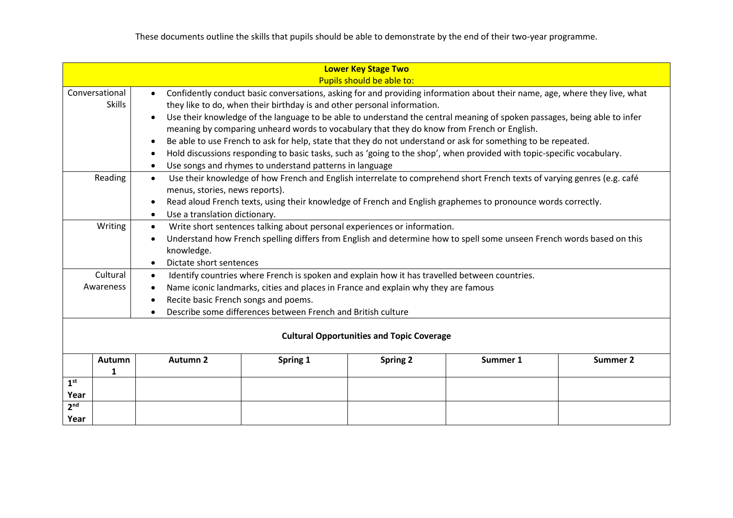| <b>Lower Key Stage Two</b>                                                                                                                                                                                                                                                      |                        |                                                                                                                                                                                                                                                                                                                                                                                                                                                                                                                                                                                                                                                                                                                                                                                                           |          |                 |          |          |  |  |  |  |
|---------------------------------------------------------------------------------------------------------------------------------------------------------------------------------------------------------------------------------------------------------------------------------|------------------------|-----------------------------------------------------------------------------------------------------------------------------------------------------------------------------------------------------------------------------------------------------------------------------------------------------------------------------------------------------------------------------------------------------------------------------------------------------------------------------------------------------------------------------------------------------------------------------------------------------------------------------------------------------------------------------------------------------------------------------------------------------------------------------------------------------------|----------|-----------------|----------|----------|--|--|--|--|
| Conversational                                                                                                                                                                                                                                                                  | <b>Skills</b>          | Pupils should be able to:<br>Confidently conduct basic conversations, asking for and providing information about their name, age, where they live, what<br>$\bullet$<br>they like to do, when their birthday is and other personal information.<br>Use their knowledge of the language to be able to understand the central meaning of spoken passages, being able to infer<br>$\bullet$<br>meaning by comparing unheard words to vocabulary that they do know from French or English.<br>Be able to use French to ask for help, state that they do not understand or ask for something to be repeated.<br>$\bullet$<br>Hold discussions responding to basic tasks, such as 'going to the shop', when provided with topic-specific vocabulary.<br>Use songs and rhymes to understand patterns in language |          |                 |          |          |  |  |  |  |
|                                                                                                                                                                                                                                                                                 | Reading                | Use their knowledge of how French and English interrelate to comprehend short French texts of varying genres (e.g. café<br>$\bullet$<br>menus, stories, news reports).<br>Read aloud French texts, using their knowledge of French and English graphemes to pronounce words correctly.<br>Use a translation dictionary.<br>$\bullet$                                                                                                                                                                                                                                                                                                                                                                                                                                                                      |          |                 |          |          |  |  |  |  |
| Writing<br>Write short sentences talking about personal experiences or information.<br>$\bullet$<br>Understand how French spelling differs from English and determine how to spell some unseen French words based on this<br>knowledge.<br>Dictate short sentences<br>$\bullet$ |                        |                                                                                                                                                                                                                                                                                                                                                                                                                                                                                                                                                                                                                                                                                                                                                                                                           |          |                 |          |          |  |  |  |  |
| Awareness                                                                                                                                                                                                                                                                       | Cultural               | Identify countries where French is spoken and explain how it has travelled between countries.<br>$\bullet$<br>Name iconic landmarks, cities and places in France and explain why they are famous<br>Recite basic French songs and poems.<br>Describe some differences between French and British culture                                                                                                                                                                                                                                                                                                                                                                                                                                                                                                  |          |                 |          |          |  |  |  |  |
| <b>Cultural Opportunities and Topic Coverage</b>                                                                                                                                                                                                                                |                        |                                                                                                                                                                                                                                                                                                                                                                                                                                                                                                                                                                                                                                                                                                                                                                                                           |          |                 |          |          |  |  |  |  |
| 1 <sup>st</sup><br>Year                                                                                                                                                                                                                                                         | Autumn<br>$\mathbf{1}$ | Autumn <sub>2</sub>                                                                                                                                                                                                                                                                                                                                                                                                                                                                                                                                                                                                                                                                                                                                                                                       | Spring 1 | <b>Spring 2</b> | Summer 1 | Summer 2 |  |  |  |  |
| 2 <sup>nd</sup><br>Year                                                                                                                                                                                                                                                         |                        |                                                                                                                                                                                                                                                                                                                                                                                                                                                                                                                                                                                                                                                                                                                                                                                                           |          |                 |          |          |  |  |  |  |